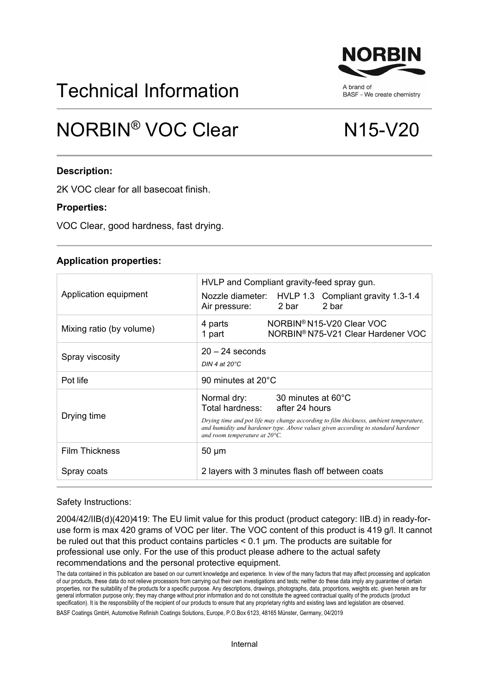# Technical Information

## NORBIN<sup>®</sup> VOC Clear N15-V20

### **Description:**

2K VOC clear for all basecoat finish.

#### **Properties:**

VOC Clear, good hardness, fast drying.

#### **Application properties:**

| Application equipment    | HVLP and Compliant gravity-feed spray gun.<br>Nozzle diameter: HVLP 1.3 Compliant gravity 1.3-1.4<br>2 bar<br>Air pressure:<br>2 bar                                                                                                                                            |
|--------------------------|---------------------------------------------------------------------------------------------------------------------------------------------------------------------------------------------------------------------------------------------------------------------------------|
| Mixing ratio (by volume) | NORBIN <sup>®</sup> N15-V20 Clear VOC<br>4 parts<br>NORBIN® N75-V21 Clear Hardener VOC<br>1 part                                                                                                                                                                                |
| Spray viscosity          | $20 - 24$ seconds<br>DIN 4 at $20^{\circ}$ C                                                                                                                                                                                                                                    |
| Pot life                 | 90 minutes at $20^{\circ}$ C                                                                                                                                                                                                                                                    |
| Drying time              | Normal dry: 30 minutes at 60°C<br>Total hardness: after 24 hours<br>Drying time and pot life may change according to film thickness, ambient temperature,<br>and humidity and hardener type. Above values given according to standard hardener<br>and room temperature at 20°C. |
| <b>Film Thickness</b>    | $50 \mu m$                                                                                                                                                                                                                                                                      |
| Spray coats              | 2 layers with 3 minutes flash off between coats                                                                                                                                                                                                                                 |

Safety Instructions:

2004/42/IIB(d)(420)419: The EU limit value for this product (product category: IIB.d) in ready-foruse form is max 420 grams of VOC per liter. The VOC content of this product is 419 g/l. It cannot be ruled out that this product contains particles < 0.1 μm. The products are suitable for professional use only. For the use of this product please adhere to the actual safety recommendations and the personal protective equipment.

The data contained in this publication are based on our current knowledge and experience. In view of the many factors that may affect processing and application of our products, these data do not relieve processors from carrying out their own investigations and tests; neither do these data imply any guarantee of certain properties, nor the suitability of the products for a specific purpose. Any descriptions, drawings, photographs, data, proportions, weights etc. given herein are for general information purpose only; they may change without prior information and do not constitute the agreed contractual quality of the products (product specification). It is the responsibility of the recipient of our products to ensure that any proprietary rights and existing laws and legislation are observed.

BASF Coatings GmbH, Automotive Refinish Coatings Solutions, Europe, P.O.Box 6123, 48165 Münster, Germany, 04/2019